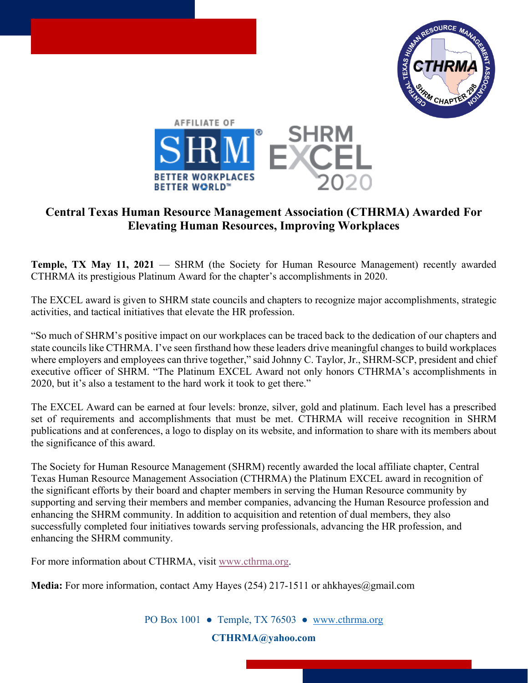



## **Central Texas Human Resource Management Association (CTHRMA) Awarded For Elevating Human Resources, Improving Workplaces**

**Temple, TX May 11, 2021** — SHRM (the Society for Human Resource Management) recently awarded CTHRMA its prestigious Platinum Award for the chapter's accomplishments in 2020.

The EXCEL award is given to SHRM state councils and chapters to recognize major accomplishments, strategic activities, and tactical initiatives that elevate the HR profession.

"So much of SHRM's positive impact on our workplaces can be traced back to the dedication of our chapters and state councils like CTHRMA. I've seen firsthand how these leaders drive meaningful changes to build workplaces where employers and employees can thrive together," said Johnny C. Taylor, Jr., SHRM-SCP, president and chief executive officer of SHRM. "The Platinum EXCEL Award not only honors CTHRMA's accomplishments in 2020, but it's also a testament to the hard work it took to get there."

The EXCEL Award can be earned at four levels: bronze, silver, gold and platinum. Each level has a prescribed set of requirements and accomplishments that must be met. CTHRMA will receive recognition in SHRM publications and at conferences, a logo to display on its website, and information to share with its members about the significance of this award.

The Society for Human Resource Management (SHRM) recently awarded the local affiliate chapter, Central Texas Human Resource Management Association (CTHRMA) the Platinum EXCEL award in recognition of the significant efforts by their board and chapter members in serving the Human Resource community by supporting and serving their members and member companies, advancing the Human Resource profession and enhancing the SHRM community. In addition to acquisition and retention of dual members, they also successfully completed four initiatives towards serving professionals, advancing the HR profession, and enhancing the SHRM community.

For more information about CTHRMA, visit [www.cthrma.org.](http://www.cthrma.org/)

**Media:** For more information, contact Amy Hayes (254) 217-1511 or ahkhayes@gmail.com

PO Box 1001 • Temple, TX 76503 • www.cthrma.org

**[CTHRMA@yahoo.com](mailto:CTHRMA@yahoo.com)**